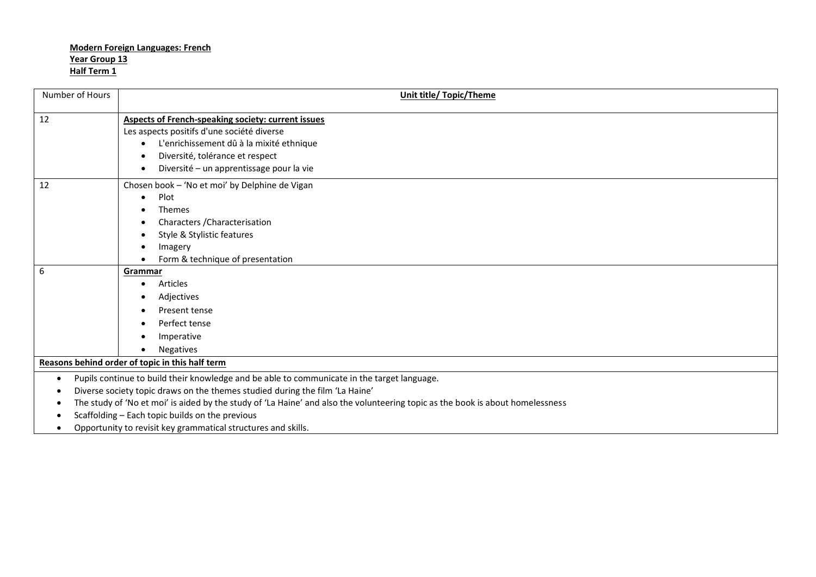## **Modern Foreign Languages: French Year Group 13 Half Term 1**

| Number of Hours                                                                                          | <b>Unit title/ Topic/Theme</b>                                                                                                 |  |
|----------------------------------------------------------------------------------------------------------|--------------------------------------------------------------------------------------------------------------------------------|--|
| 12                                                                                                       | <b>Aspects of French-speaking society: current issues</b>                                                                      |  |
|                                                                                                          | Les aspects positifs d'une société diverse                                                                                     |  |
|                                                                                                          | L'enrichissement dû à la mixité ethnique                                                                                       |  |
|                                                                                                          | Diversité, tolérance et respect                                                                                                |  |
|                                                                                                          | Diversité - un apprentissage pour la vie                                                                                       |  |
| 12                                                                                                       | Chosen book - 'No et moi' by Delphine de Vigan                                                                                 |  |
|                                                                                                          | Plot<br>$\bullet$                                                                                                              |  |
|                                                                                                          | <b>Themes</b>                                                                                                                  |  |
|                                                                                                          | Characters / Characterisation                                                                                                  |  |
|                                                                                                          | Style & Stylistic features<br>$\bullet$                                                                                        |  |
|                                                                                                          | Imagery                                                                                                                        |  |
|                                                                                                          | Form & technique of presentation                                                                                               |  |
| $6\phantom{1}6$                                                                                          | Grammar                                                                                                                        |  |
|                                                                                                          | Articles<br>$\bullet$                                                                                                          |  |
|                                                                                                          | Adjectives<br>$\bullet$                                                                                                        |  |
|                                                                                                          | Present tense<br>٠                                                                                                             |  |
|                                                                                                          | Perfect tense<br>$\bullet$                                                                                                     |  |
|                                                                                                          | Imperative                                                                                                                     |  |
|                                                                                                          | <b>Negatives</b><br>$\bullet$                                                                                                  |  |
| Reasons behind order of topic in this half term                                                          |                                                                                                                                |  |
| Pupils continue to build their knowledge and be able to communicate in the target language.<br>$\bullet$ |                                                                                                                                |  |
| Diverse society topic draws on the themes studied during the film 'La Haine'                             |                                                                                                                                |  |
|                                                                                                          | The study of 'No et moi' is aided by the study of 'La Haine' and also the volunteering topic as the book is about homelessness |  |
| Scaffolding - Each topic builds on the previous<br>٠                                                     |                                                                                                                                |  |

Opportunity to revisit key grammatical structures and skills.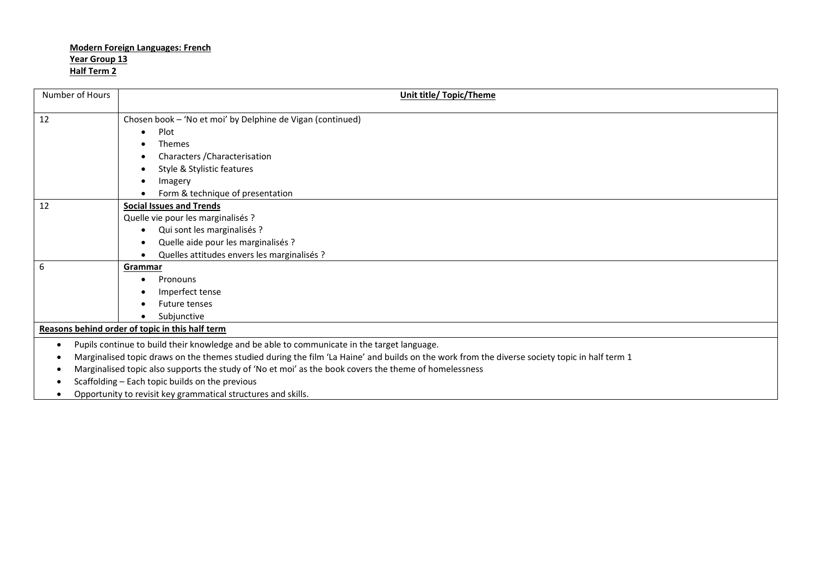## **Modern Foreign Languages: French Year Group 13 Half Term 2**

| Number of Hours                                                                                                                                | Unit title/ Topic/Theme                                                                                |  |
|------------------------------------------------------------------------------------------------------------------------------------------------|--------------------------------------------------------------------------------------------------------|--|
| 12                                                                                                                                             | Chosen book - 'No et moi' by Delphine de Vigan (continued)                                             |  |
|                                                                                                                                                | Plot<br>$\bullet$                                                                                      |  |
|                                                                                                                                                | <b>Themes</b>                                                                                          |  |
|                                                                                                                                                | Characters / Characterisation                                                                          |  |
|                                                                                                                                                | Style & Stylistic features                                                                             |  |
|                                                                                                                                                | Imagery                                                                                                |  |
|                                                                                                                                                | Form & technique of presentation                                                                       |  |
| 12                                                                                                                                             | <b>Social Issues and Trends</b>                                                                        |  |
|                                                                                                                                                | Quelle vie pour les marginalisés ?                                                                     |  |
|                                                                                                                                                | Qui sont les marginalisés ?                                                                            |  |
|                                                                                                                                                | Quelle aide pour les marginalisés ?                                                                    |  |
|                                                                                                                                                | Quelles attitudes envers les marginalisés ?                                                            |  |
| 6                                                                                                                                              | Grammar                                                                                                |  |
|                                                                                                                                                | Pronouns<br>$\bullet$                                                                                  |  |
|                                                                                                                                                | Imperfect tense                                                                                        |  |
|                                                                                                                                                | <b>Future tenses</b>                                                                                   |  |
|                                                                                                                                                | Subjunctive                                                                                            |  |
| Reasons behind order of topic in this half term                                                                                                |                                                                                                        |  |
| Pupils continue to build their knowledge and be able to communicate in the target language.<br>$\bullet$                                       |                                                                                                        |  |
| Marginalised topic draws on the themes studied during the film 'La Haine' and builds on the work from the diverse society topic in half term 1 |                                                                                                        |  |
|                                                                                                                                                | Marginalised topic also supports the study of 'No et moi' as the book covers the theme of homelessness |  |
| Scaffolding - Each topic builds on the previous                                                                                                |                                                                                                        |  |
|                                                                                                                                                |                                                                                                        |  |

Opportunity to revisit key grammatical structures and skills.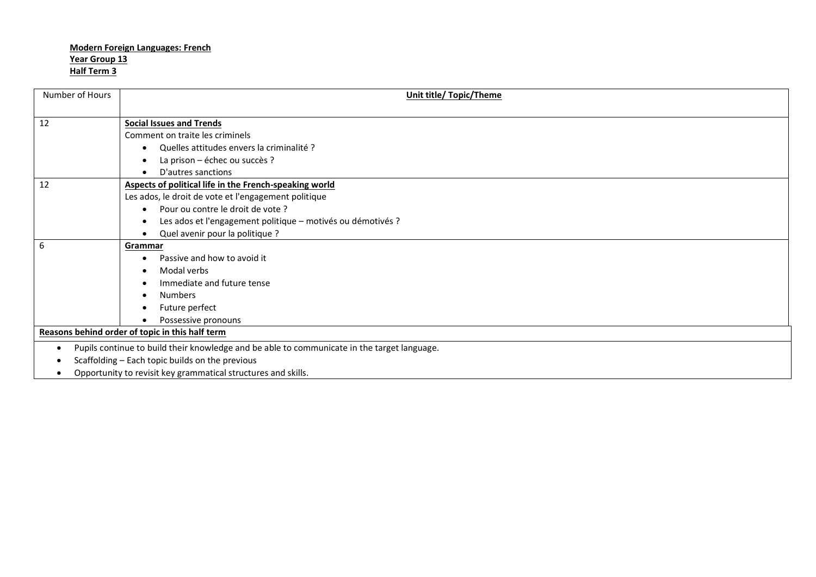## **Modern Foreign Languages: French Year Group 13 Half Term 3**

| Number of Hours                                                                                  | Unit title/ Topic/Theme                                       |  |
|--------------------------------------------------------------------------------------------------|---------------------------------------------------------------|--|
|                                                                                                  |                                                               |  |
| 12                                                                                               | <b>Social Issues and Trends</b>                               |  |
|                                                                                                  | Comment on traite les criminels                               |  |
|                                                                                                  | Quelles attitudes envers la criminalité ?                     |  |
|                                                                                                  | La prison - échec ou succès ?                                 |  |
|                                                                                                  | D'autres sanctions                                            |  |
| 12                                                                                               | Aspects of political life in the French-speaking world        |  |
|                                                                                                  | Les ados, le droit de vote et l'engagement politique          |  |
|                                                                                                  | Pour ou contre le droit de vote ?                             |  |
|                                                                                                  | Les ados et l'engagement politique - motivés ou démotivés ?   |  |
|                                                                                                  | Quel avenir pour la politique ?                               |  |
| 6                                                                                                | Grammar                                                       |  |
|                                                                                                  | Passive and how to avoid it                                   |  |
|                                                                                                  | Modal verbs                                                   |  |
|                                                                                                  | Immediate and future tense                                    |  |
|                                                                                                  | <b>Numbers</b>                                                |  |
|                                                                                                  | Future perfect                                                |  |
|                                                                                                  | Possessive pronouns                                           |  |
| Reasons behind order of topic in this half term                                                  |                                                               |  |
| Pupils continue to build their knowledge and be able to communicate in the target language.<br>٠ |                                                               |  |
| ٠                                                                                                | Scaffolding - Each topic builds on the previous               |  |
|                                                                                                  | Opportunity to revisit key grammatical structures and skills. |  |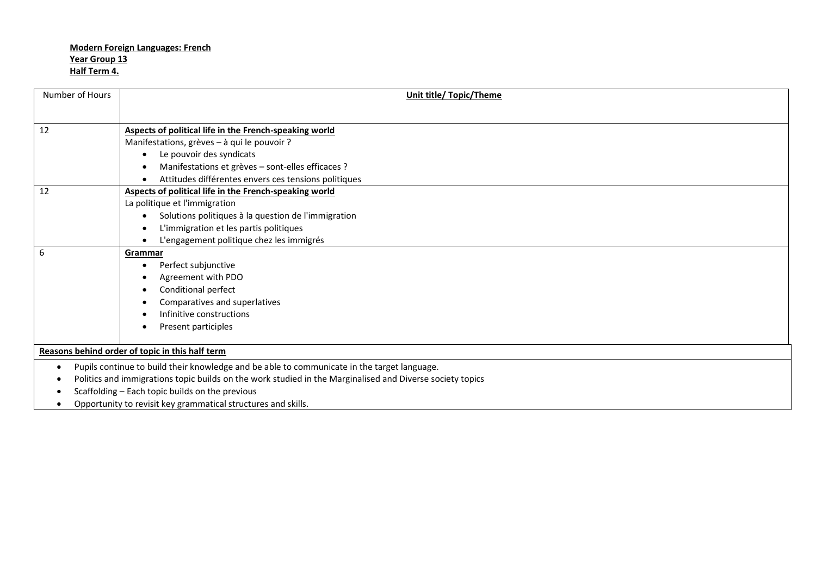## **Modern Foreign Languages: French Year Group 13 Half Term 4.**

| Number of Hours                                 | <b>Unit title/ Topic/Theme</b>                                                                            |  |
|-------------------------------------------------|-----------------------------------------------------------------------------------------------------------|--|
|                                                 |                                                                                                           |  |
| 12                                              | Aspects of political life in the French-speaking world                                                    |  |
|                                                 | Manifestations, grèves - à qui le pouvoir ?                                                               |  |
|                                                 | Le pouvoir des syndicats                                                                                  |  |
|                                                 | Manifestations et grèves - sont-elles efficaces ?                                                         |  |
|                                                 | Attitudes différentes envers ces tensions politiques                                                      |  |
| 12                                              | Aspects of political life in the French-speaking world                                                    |  |
|                                                 | La politique et l'immigration                                                                             |  |
|                                                 | Solutions politiques à la question de l'immigration                                                       |  |
|                                                 | L'immigration et les partis politiques                                                                    |  |
|                                                 | L'engagement politique chez les immigrés                                                                  |  |
| 6                                               | Grammar                                                                                                   |  |
|                                                 | Perfect subjunctive<br>$\bullet$                                                                          |  |
|                                                 | Agreement with PDO                                                                                        |  |
|                                                 | Conditional perfect                                                                                       |  |
|                                                 | Comparatives and superlatives                                                                             |  |
|                                                 | Infinitive constructions                                                                                  |  |
|                                                 | Present participles                                                                                       |  |
| Reasons behind order of topic in this half term |                                                                                                           |  |
| $\bullet$                                       | Pupils continue to build their knowledge and be able to communicate in the target language.               |  |
|                                                 | Politics and immigrations topic builds on the work studied in the Marginalised and Diverse society topics |  |
|                                                 | Scaffolding - Each topic builds on the previous                                                           |  |
|                                                 | Opportunity to revisit key grammatical structures and skills.                                             |  |